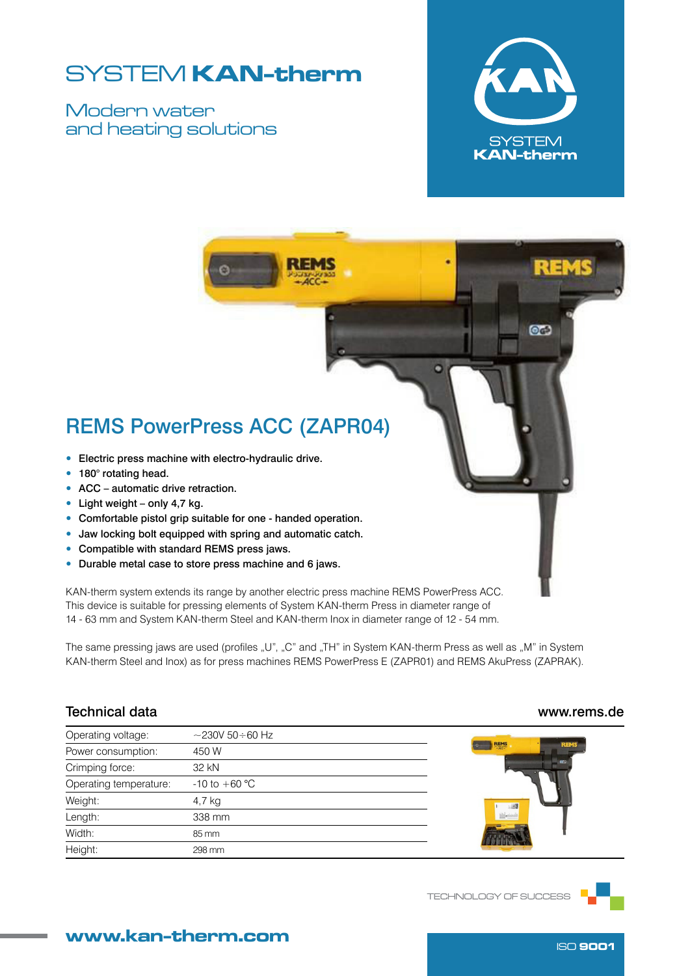## SYSTEM KAN-therm

Modern water and heating solutions



**REMS** 

**Oct** 

# REMS PowerPress ACC (ZAPR04)

- Electric press machine with electro-hydraulic drive.
- 180° rotating head.
- ACC automatic drive retraction.
- $\bullet$  Light weight only 4,7 kg.
- Comfortable pistol grip suitable for one handed operation.
- Jaw locking bolt equipped with spring and automatic catch.
- Compatible with standard REMS press jaws.
- Durable metal case to store press machine and 6 jaws.

KAN-therm system extends its range by another electric press machine REMS PowerPress ACC. This device is suitable for pressing elements of System KAN-therm Press in diameter range of 14 - 63 mm and System KAN-therm Steel and KAN-therm Inox in diameter range of 12 - 54 mm.

The same pressing jaws are used (profiles "U", "C" and "TH" in System KAN-therm Press as well as "M" in System KAN-therm Steel and Inox) as for press machines REMS PowerPress E (ZAPR01) and REMS AkuPress (ZAPRAK).

**REMS** 

### Technical data www.rems.de

| Operating voltage:     | $\sim$ 230V 50 $\div$ 60 Hz |          |
|------------------------|-----------------------------|----------|
| Power consumption:     | 450 W                       | REMS     |
| Crimping force:        | 32 kN                       |          |
| Operating temperature: | $-10$ to $+60$ °C           |          |
| Weight:                | 4,7 kg                      |          |
| Length:                | 338 mm                      | i<br>ile |
| Width:                 | 85 mm                       |          |
| Height:                | 298 mm                      |          |



TECHNOLOGY OF SUCCESS